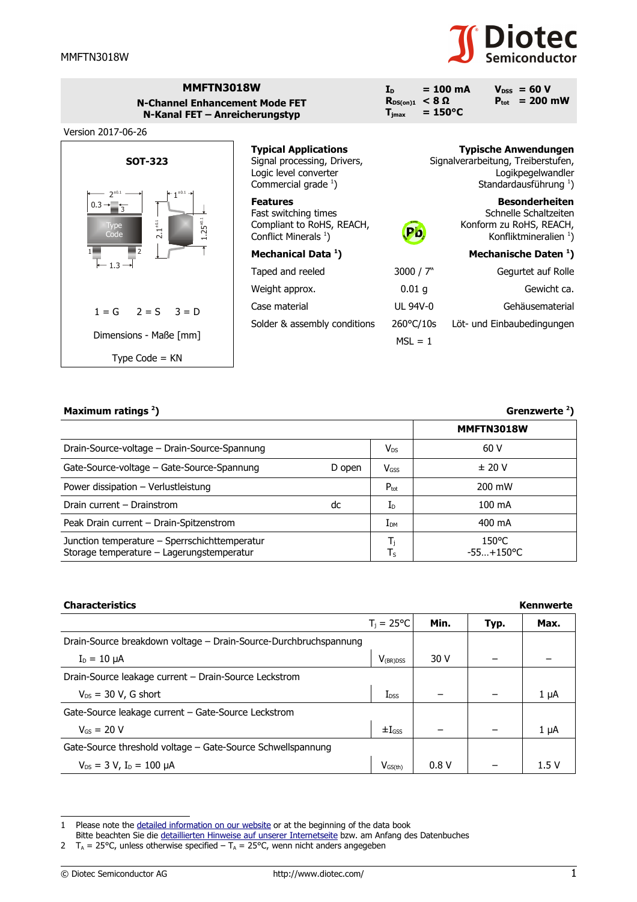

| MMFTN3018W                     |
|--------------------------------|
| N-Channel Enhancement Mode FET |
| N-Kanal FET - Anreicherungstyp |



Version 2017-06-26



| <b>Typical Applications</b><br>Signal processing, Drivers,<br>Logic level converter<br>Commercial grade $1$ ) |                                  | <b>Typische Anwendungen</b><br>Signalverarbeitung, Treiberstufen,<br>Logikpegelwandler<br>Standardausführung <sup>1</sup> ) |
|---------------------------------------------------------------------------------------------------------------|----------------------------------|-----------------------------------------------------------------------------------------------------------------------------|
| <b>Features</b><br>Fast switching times<br>Compliant to RoHS, REACH,<br>Conflict Minerals <sup>1</sup> )      |                                  | <b>Besonderheiten</b><br>Schnelle Schaltzeiten<br>Konform zu RoHS, REACH,<br>Konfliktmineralien $1$ )                       |
| Mechanical Data <sup>1</sup> )                                                                                |                                  | Mechanische Daten 1)                                                                                                        |
| Taped and reeled                                                                                              | 3000 / $7"$                      | Gegurtet auf Rolle                                                                                                          |
| Weight approx.                                                                                                | 0.01 <sub>q</sub>                | Gewicht ca.                                                                                                                 |
| Case material                                                                                                 | UL 94V-0                         | Gehäusematerial                                                                                                             |
| Solder & assembly conditions                                                                                  | $260^{\circ}$ C/10s<br>$MSL = 1$ | Löt- und Einbaubedingungen                                                                                                  |

## **Maximum ratings [2](#page-0-1)**

| Maximum ratings $2$ )                                                                      |        |                    | Grenzwerte $2$ )                |  |  |
|--------------------------------------------------------------------------------------------|--------|--------------------|---------------------------------|--|--|
|                                                                                            |        |                    | MMFTN3018W                      |  |  |
| Drain-Source-voltage - Drain-Source-Spannung                                               |        | $V_{DS}$           | 60 V                            |  |  |
| Gate-Source-voltage – Gate-Source-Spannung                                                 | D open | $V$ <sub>GSS</sub> | $±$ 20 V                        |  |  |
| Power dissipation - Verlustleistung                                                        |        | $P_{\text{tot}}$   | 200 mW                          |  |  |
| Drain current - Drainstrom                                                                 | dc     | $I_{\text{D}}$     | 100 mA                          |  |  |
| Peak Drain current - Drain-Spitzenstrom                                                    |        | $I_{DM}$           | 400 mA                          |  |  |
| Junction temperature - Sperrschichttemperatur<br>Storage temperature - Lagerungstemperatur |        | T,<br>$T_S$        | $150^{\circ}$ C<br>$-55+150$ °C |  |  |

| <b>Characteristics</b>                                           |                     |      | <b>Kennwerte</b> |           |
|------------------------------------------------------------------|---------------------|------|------------------|-----------|
|                                                                  | $T_i = 25^{\circ}C$ | Min. | Typ.             | Max.      |
| Drain-Source breakdown voltage – Drain-Source-Durchbruchspannung |                     |      |                  |           |
| $I_D = 10 \mu A$                                                 | $V_{(BR)DSS}$       | 30 V |                  |           |
| Drain-Source leakage current - Drain-Source Leckstrom            |                     |      |                  |           |
| $V_{DS}$ = 30 V, G short                                         | $I_{DSS}$           |      |                  | $1 \mu A$ |
| Gate-Source leakage current - Gate-Source Leckstrom              |                     |      |                  |           |
| $V_{gs} = 20 V$                                                  | $\pm I_{GSS}$       |      |                  | $1 \mu A$ |
| Gate-Source threshold voltage – Gate-Source Schwellspannung      |                     |      |                  |           |
| $V_{DS}$ = 3 V, I <sub>D</sub> = 100 $\mu$ A                     | $V_{GS(th)}$        | 0.8V |                  | 1.5 V     |

<span id="page-0-0"></span><sup>1</sup> Please note the [detailed information on our website](http://diotec.com/en/products/all-products.html) or at the beginning of the data book

Bitte beachten Sie die [detaillierten Hinweise auf unserer Internetseite](http://diotec.com/de/produkte/uebersicht.html) bzw. am Anfang des Datenbuches

<span id="page-0-1"></span><sup>2</sup>  $T_A$  = 25°C, unless otherwise specified –  $T_A$  = 25°C, wenn nicht anders angegeben